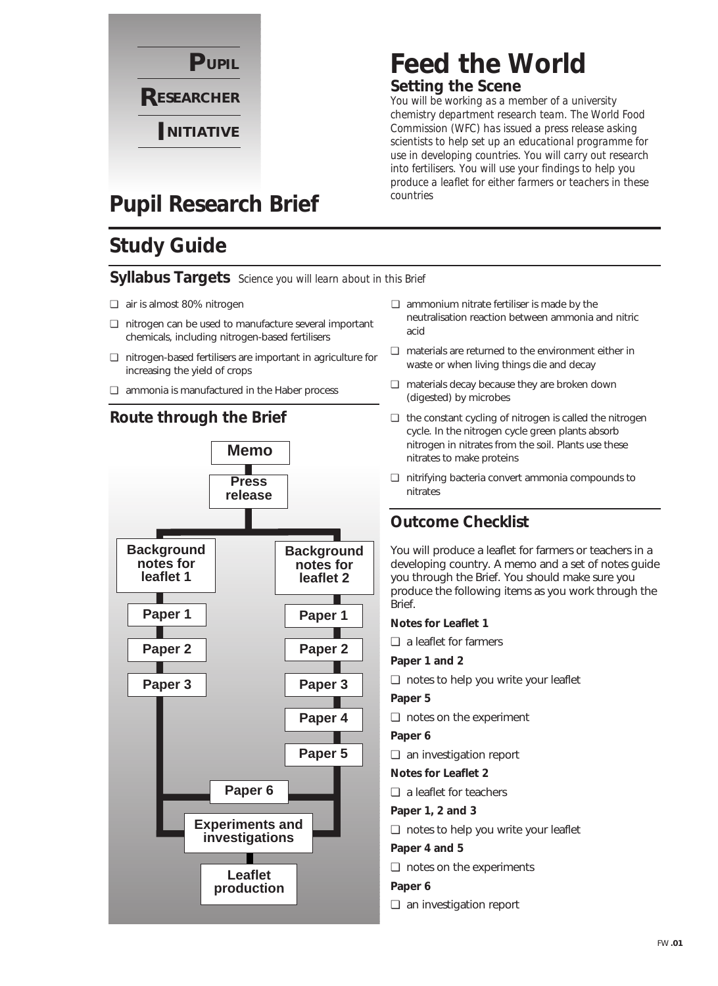

### **Feed the World Setting the Scene**

*You will be working as a member of a university chemistry department research team. The World Food Commission (WFC) has issued a press release asking scientists to help set up an educational programme for use in developing countries. You will carry out research into fertilisers. You will use your findings to help you produce a leaflet for either farmers or teachers in these countries*

### **Pupil Research Brief**

### **Study Guide**

#### **Syllabus Targets** *Science you will learn about in this Brief*

- ❏ air is almost 80% nitrogen
- ❏ nitrogen can be used to manufacture several important chemicals, including nitrogen-based fertilisers
- ❏ nitrogen-based fertilisers are important in agriculture for increasing the yield of crops
- ❏ ammonia is manufactured in the Haber process



- ❏ ammonium nitrate fertiliser is made by the neutralisation reaction between ammonia and nitric acid
- ❏ materials are returned to the environment either in waste or when living things die and decay
- ❏ materials decay because they are broken down (digested) by microbes
- ❏ the constant cycling of nitrogen is called the nitrogen cycle. In the nitrogen cycle green plants absorb nitrogen in nitrates from the soil. Plants use these nitrates to make proteins
- ❏ nitrifying bacteria convert ammonia compounds to nitrates

#### **Outcome Checklist**

You will produce a leaflet for farmers or teachers in a developing country. A memo and a set of notes guide you through the Brief. You should make sure you produce the following items as you work through the Brief.

#### **Notes for Leaflet 1**

- ❏ a leaflet for farmers
- **Paper 1 and 2**
- ❏ notes to help you write your leaflet
- **Paper 5**
- ❏ notes on the experiment
- **Paper 6**
- ❏ an investigation report
- **Notes for Leaflet 2**
- ❏ a leaflet for teachers
- **Paper 1, 2 and 3**
- ❏ notes to help you write your leaflet

#### **Paper 4 and 5**

- ❏ notes on the experiments
- **Paper 6**
- ❏ an investigation report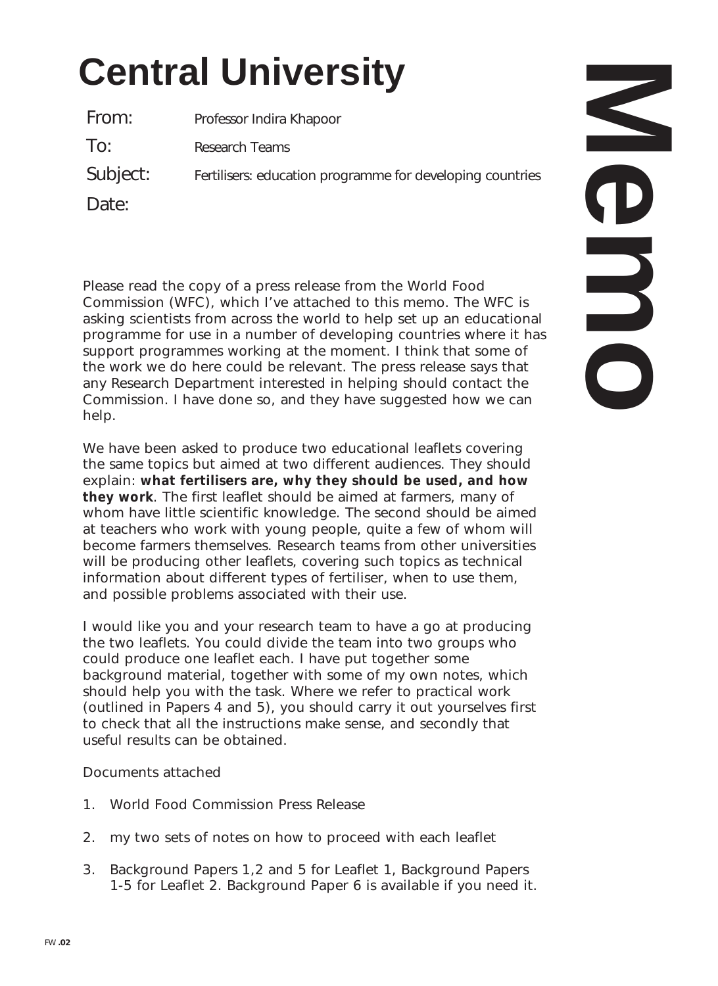# **Central University**

From: Professor Indira Khapoor To: Research Teams Subject: Fertilisers: education programme for developing countries

Date:

Please read the copy of a press release from the World Food Commission (WFC), which I've attached to this memo. The WFC is asking scientists from across the world to help set up an educational programme for use in a number of developing countries where it has support programmes working at the moment. I think that some of the work we do here could be relevant. The press release says that any Research Department interested in helping should contact the Commission. I have done so, and they have suggested how we can help.

We have been asked to produce two educational leaflets covering the same topics but aimed at two different audiences. They should explain: **what fertilisers are, why they should be used, and how they work**. The first leaflet should be aimed at farmers, many of whom have little scientific knowledge. The second should be aimed at teachers who work with young people, quite a few of whom will become farmers themselves. Research teams from other universities will be producing other leaflets, covering such topics as technical information about different types of fertiliser, when to use them, and possible problems associated with their use.

I would like you and your research team to have a go at producing the two leaflets. You could divide the team into two groups who could produce one leaflet each. I have put together some background material, together with some of my own notes, which should help you with the task. Where we refer to practical work (outlined in Papers 4 and 5), you should carry it out yourselves first to check that all the instructions make sense, and secondly that useful results can be obtained.

#### Documents attached

- 1. World Food Commission Press Release
- 2. my two sets of notes on how to proceed with each leaflet
- 3. Background Papers 1,2 and 5 for Leaflet 1, Background Papers 1-5 for Leaflet 2. Background Paper 6 is available if you need it.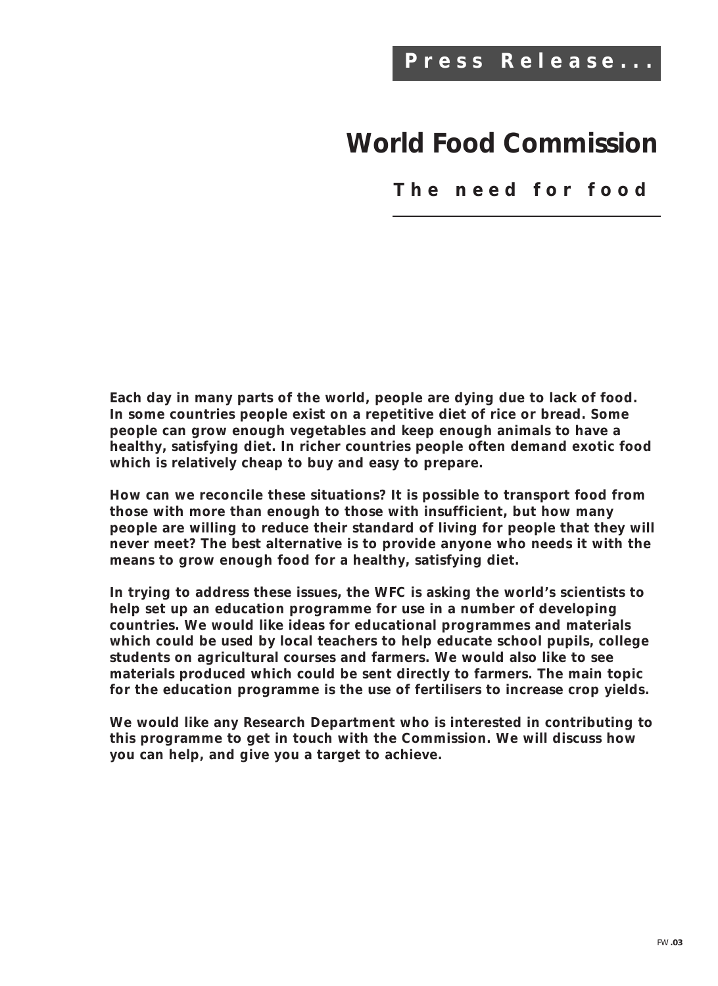### **World Food Commission**

**The need for food**

**Each day in many parts of the world, people are dying due to lack of food. In some countries people exist on a repetitive diet of rice or bread. Some people can grow enough vegetables and keep enough animals to have a healthy, satisfying diet. In richer countries people often demand exotic food which is relatively cheap to buy and easy to prepare.**

**How can we reconcile these situations? It is possible to transport food from those with more than enough to those with insufficient, but how many people are willing to reduce their standard of living for people that they will never meet? The best alternative is to provide anyone who needs it with the means to grow enough food for a healthy, satisfying diet.**

**In trying to address these issues, the WFC is asking the world's scientists to help set up an education programme for use in a number of developing countries. We would like ideas for educational programmes and materials which could be used by local teachers to help educate school pupils, college students on agricultural courses and farmers. We would also like to see materials produced which could be sent directly to farmers. The main topic for the education programme is the use of fertilisers to increase crop yields.**

**We would like any Research Department who is interested in contributing to this programme to get in touch with the Commission. We will discuss how you can help, and give you a target to achieve.**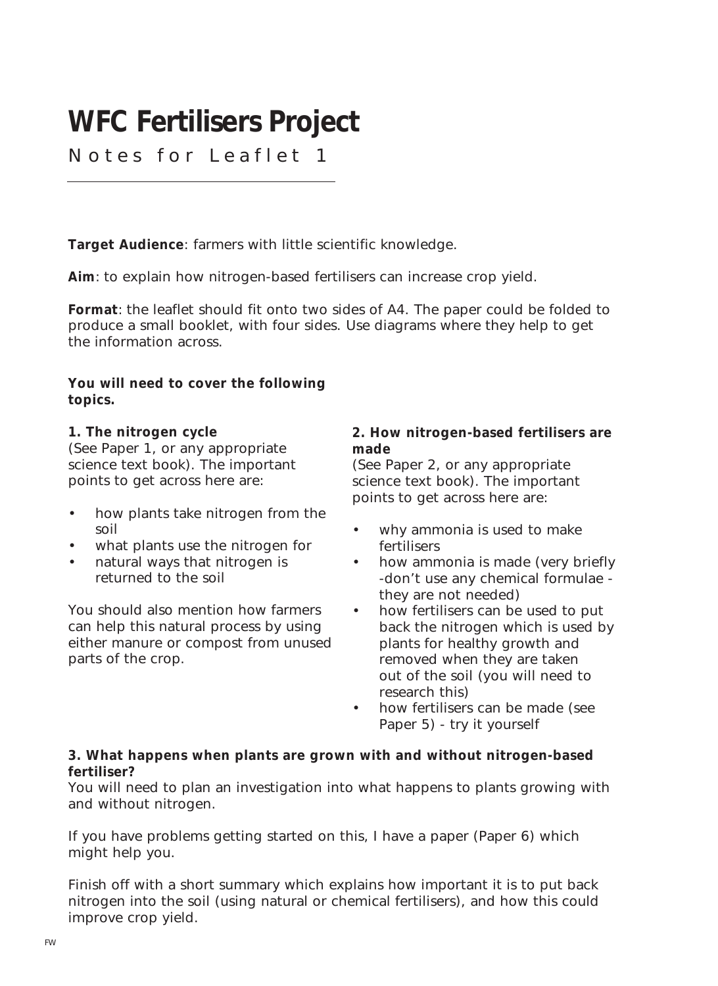### **WFC Fertilisers Project**

Notes for Leaflet 1

**Target Audience**: farmers with little scientific knowledge.

**Aim**: to explain how nitrogen-based fertilisers can increase crop yield.

**Format**: the leaflet should fit onto two sides of A4. The paper could be folded to produce a small booklet, with four sides. Use diagrams where they help to get the information across.

**You will need to cover the following topics.**

#### **1. The nitrogen cycle**

(See Paper 1, or any appropriate science text book). The important points to get across here are:

- how plants take nitrogen from the soil
- what plants use the nitrogen for
- natural ways that nitrogen is returned to the soil

You should also mention how farmers can help this natural process by using either manure or compost from unused parts of the crop.

#### **2. How nitrogen-based fertilisers are made**

(See Paper 2, or any appropriate science text book). The important points to get across here are:

- why ammonia is used to make fertilisers
- how ammonia is made (very briefly -don't use any chemical formulae they are not needed)
- how fertilisers can be used to put back the nitrogen which is used by plants for healthy growth and removed when they are taken out of the soil (you will need to research this)
- how fertilisers can be made (see Paper 5) - try it yourself

#### **3. What happens when plants are grown with and without nitrogen-based fertiliser?**

You will need to plan an investigation into what happens to plants growing with and without nitrogen.

If you have problems getting started on this, I have a paper (Paper 6) which might help you.

Finish off with a short summary which explains how important it is to put back nitrogen into the soil (using natural or chemical fertilisers), and how this could improve crop yield.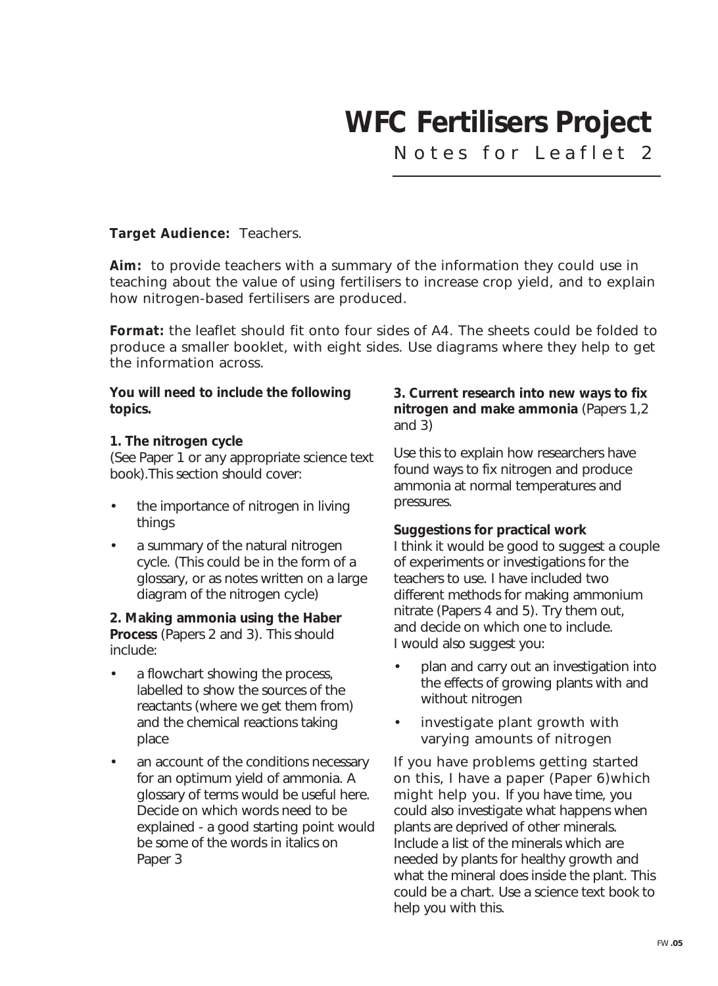### **WFC Fertilisers Project**

Notes for Leaflet 2

#### **Target Audience:** Teachers.

**Aim:** to provide teachers with a summary of the information they could use in teaching about the value of using fertilisers to increase crop yield, and to explain how nitrogen-based fertilisers are produced.

**Format:** the leaflet should fit onto four sides of A4. The sheets could be folded to produce a smaller booklet, with eight sides. Use diagrams where they help to get the information across.

#### **You will need to include the following topics.**

#### **1. The nitrogen cycle**

(See Paper 1 or any appropriate science text book).This section should cover:

- the importance of nitrogen in living things
- a summary of the natural nitrogen cycle. (This could be in the form of a glossary, or as notes written on a large diagram of the nitrogen cycle)

#### **2. Making ammonia using the Haber Process** (Papers 2 and 3). This should include:

- a flowchart showing the process, labelled to show the sources of the reactants (where we get them from) and the chemical reactions taking place
- an account of the conditions necessary for an optimum yield of ammonia. A glossary of terms would be useful here. Decide on which words need to be explained - a good starting point would be some of the words in italics on Paper 3

#### **3. Current research into new ways to fix nitrogen and make ammonia** (Papers 1,2 and 3)

Use this to explain how researchers have found ways to fix nitrogen and produce ammonia at normal temperatures and pressures.

#### **Suggestions for practical work**

I think it would be good to suggest a couple of experiments or investigations for the teachers to use. I have included two different methods for making ammonium nitrate (Papers 4 and 5). Try them out, and decide on which one to include. I would also suggest you:

- plan and carry out an investigation into the effects of growing plants with and without nitrogen
- investigate plant growth with varying amounts of nitrogen

If you have problems getting started on this, I have a paper (Paper 6)which might help you. If you have time, you could also investigate what happens when plants are deprived of other minerals. Include a list of the minerals which are needed by plants for healthy growth and what the mineral does inside the plant. This could be a chart. Use a science text book to help you with this.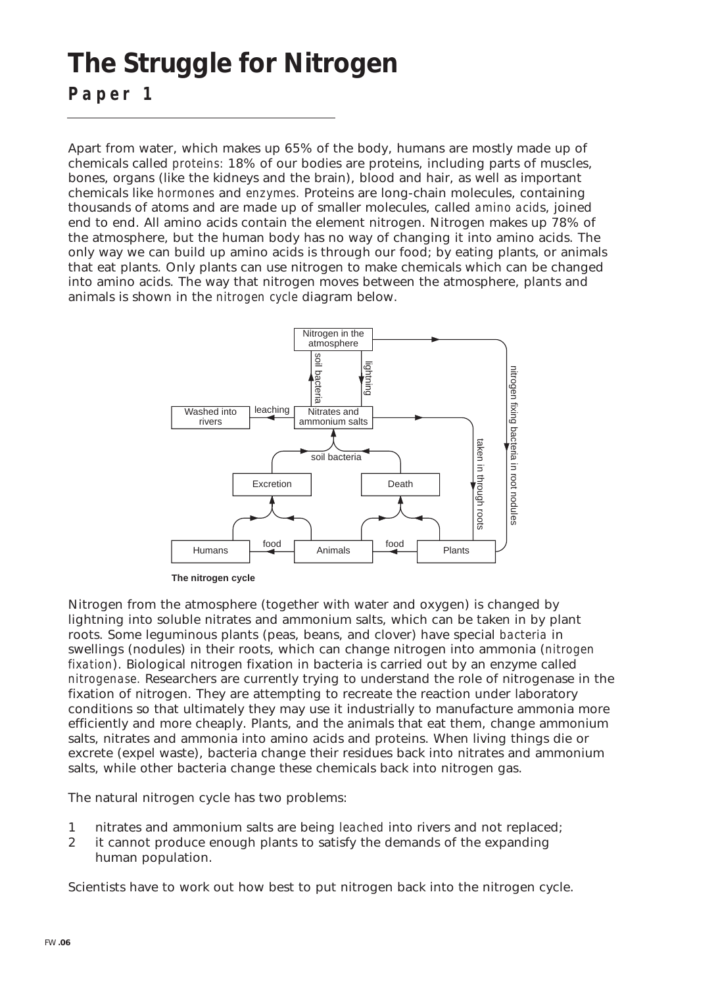### **The Struggle for Nitrogen**

**Paper 1**

Apart from water, which makes up 65% of the body, humans are mostly made up of chemicals called *proteins:* 18% of our bodies are proteins, including parts of muscles, bones, organs (like the kidneys and the brain), blood and hair, as well as important chemicals like *hormones* and *enzymes.* Proteins are long-chain molecules, containing thousands of atoms and are made up of smaller molecules, called *amino acid*s, joined end to end. All amino acids contain the element nitrogen. Nitrogen makes up 78% of the atmosphere, but the human body has no way of changing it into amino acids. The only way we can build up amino acids is through our food; by eating plants, or animals that eat plants. Only plants can use nitrogen to make chemicals which can be changed into amino acids. The way that nitrogen moves between the atmosphere, plants and animals is shown in the *nitrogen cycle* diagram below.



**The nitrogen cycle**

Nitrogen from the atmosphere (together with water and oxygen) is changed by lightning into soluble nitrates and ammonium salts, which can be taken in by plant roots. Some leguminous plants (peas, beans, and clover) have special *bacteria* in swellings (nodules) in their roots, which can change nitrogen into ammonia (*nitrogen fixation*). Biological nitrogen fixation in bacteria is carried out by an enzyme called *nitrogenase.* Researchers are currently trying to understand the role of nitrogenase in the fixation of nitrogen. They are attempting to recreate the reaction under laboratory conditions so that ultimately they may use it industrially to manufacture ammonia more efficiently and more cheaply. Plants, and the animals that eat them, change ammonium salts, nitrates and ammonia into amino acids and proteins. When living things die or excrete (expel waste), bacteria change their residues back into nitrates and ammonium salts, while other bacteria change these chemicals back into nitrogen gas.

The natural nitrogen cycle has two problems:

- 1 nitrates and ammonium salts are being *leached* into rivers and not replaced;
- 2 it cannot produce enough plants to satisfy the demands of the expanding human population.

Scientists have to work out how best to put nitrogen back into the nitrogen cycle.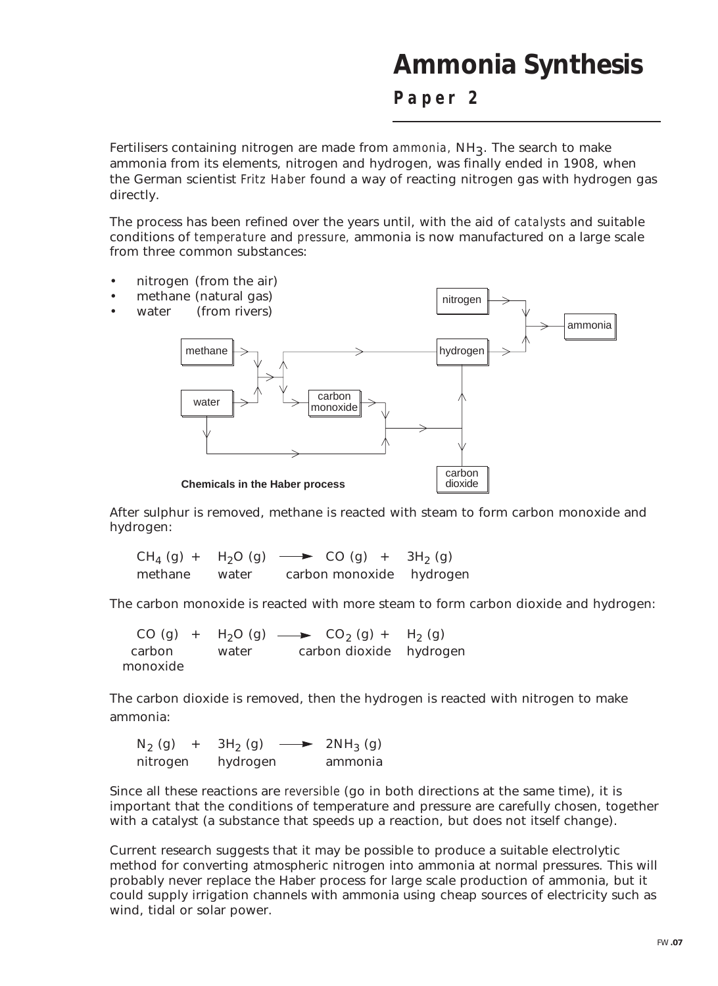### **Ammonia Synthesis**

**Paper 2**

Fertilisers containing nitrogen are made from *ammonia*, NH<sub>3</sub>. The search to make ammonia from its elements, nitrogen and hydrogen, was finally ended in 1908, when the German scientist *Fritz Haber* found a way of reacting nitrogen gas with hydrogen gas directly.

The process has been refined over the years until, with the aid of *catalysts* and suitable conditions of *temperature* and *pressure,* ammonia is now manufactured on a large scale from three common substances:



After sulphur is removed, methane is reacted with steam to form carbon monoxide and hydrogen:

 $CH_4(g) + H_2O(g) \longrightarrow CO(g) + 3H_2(g)$ methane water carbon monoxide hydrogen

The carbon monoxide is reacted with more steam to form carbon dioxide and hydrogen:

CO (g) +  $H_2O$  (g)  $\longrightarrow$  CO<sub>2</sub> (g) +  $H_2$  (g)<br>carbon water carbon dioxide hydroc water carbon dioxide hydrogen monoxide

The carbon dioxide is removed, then the hydrogen is reacted with nitrogen to make ammonia:

 $N_2$  (g) + 3H<sub>2</sub> (g)  $\longrightarrow$  2NH<sub>3</sub> (g) nitrogen hydrogen ammonia

Since all these reactions are *reversible* (go in both directions at the same time), it is important that the conditions of temperature and pressure are carefully chosen, together with a catalyst (a substance that speeds up a reaction, but does not itself change).

Current research suggests that it may be possible to produce a suitable electrolytic method for converting atmospheric nitrogen into ammonia at normal pressures. This will probably never replace the Haber process for large scale production of ammonia, but it could supply irrigation channels with ammonia using cheap sources of electricity such as wind, tidal or solar power.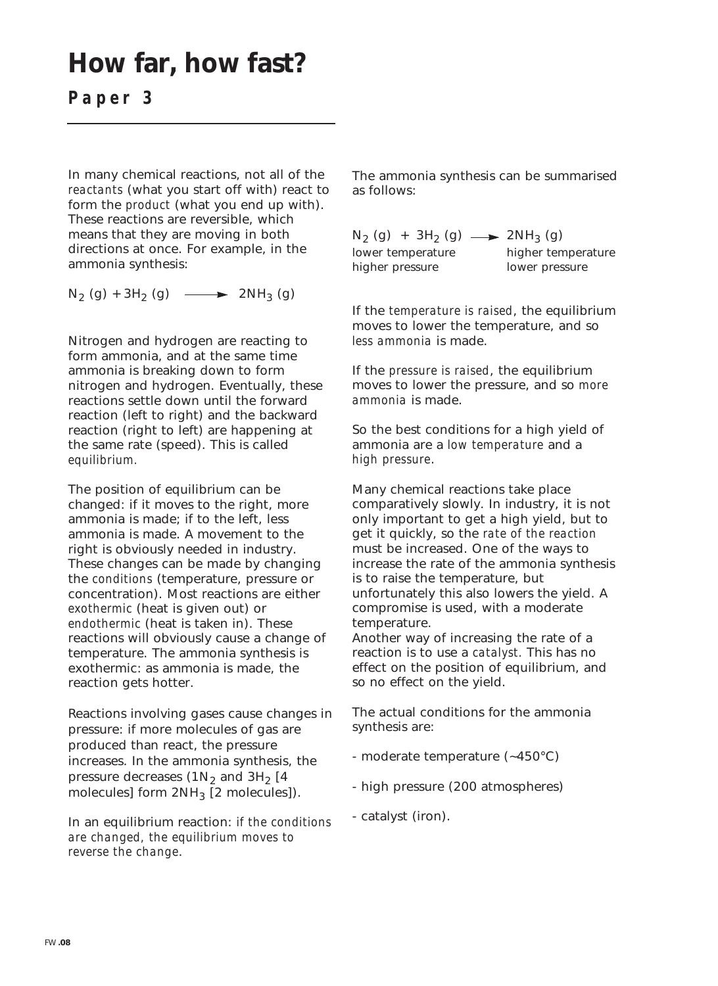### **How far, how fast?**

**Paper 3**

In many chemical reactions, not all of the *reactants* (what you start off with) react to form the *product* (what you end up with). These reactions are reversible, which means that they are moving in both directions at once. For example, in the ammonia synthesis:

 $N_2$  (g) + 3H<sub>2</sub> (g)  $\longrightarrow$  2NH<sub>3</sub> (g)

Nitrogen and hydrogen are reacting to form ammonia, and at the same time ammonia is breaking down to form nitrogen and hydrogen. Eventually, these reactions settle down until the forward reaction (left to right) and the backward reaction (right to left) are happening at the same rate (speed). This is called *equilibrium.* 

The position of equilibrium can be changed: if it moves to the right, more ammonia is made; if to the left, less ammonia is made. A movement to the right is obviously needed in industry. These changes can be made by changing the *conditions* (temperature, pressure or concentration). Most reactions are either *exothermic* (heat is given out) or *endothermic* (heat is taken in). These reactions will obviously cause a change of temperature. The ammonia synthesis is exothermic: as ammonia is made, the reaction gets hotter.

Reactions involving gases cause changes in pressure: if more molecules of gas are produced than react, the pressure increases. In the ammonia synthesis, the pressure decreases  $(1N<sub>2</sub>$  and  $3H<sub>2</sub>$  [4 molecules] form  $2NH<sub>3</sub>$  [2 molecules]).

In an equilibrium reaction: *if the conditions are changed, the equilibrium moves to reverse the change*.

The ammonia synthesis can be summarised as follows:

 $N_2$  (g) + 3H<sub>2</sub> (g)  $\longrightarrow$  2NH<sub>3</sub> (g) lower temperature higher temperature higher pressure lower pressure

If the *temperature is raised*, the equilibrium moves to lower the temperature, and so *less ammonia* is made.

If the *pressure is raised*, the equilibrium moves to lower the pressure, and so *more ammonia* is made.

So the best conditions for a high yield of ammonia are a *low temperature* and a *high pressure*.

Many chemical reactions take place comparatively slowly. In industry, it is not only important to get a high yield, but to get it quickly, so the *rate of the reaction* must be increased. One of the ways to increase the rate of the ammonia synthesis is to raise the temperature, but unfortunately this also lowers the yield. A compromise is used, with a moderate temperature.

Another way of increasing the rate of a reaction is to use a *catalyst.* This has no effect on the position of equilibrium, and so no effect on the yield.

The actual conditions for the ammonia synthesis are:

- moderate temperature (~450°C)
- high pressure (200 atmospheres)
- catalyst (iron).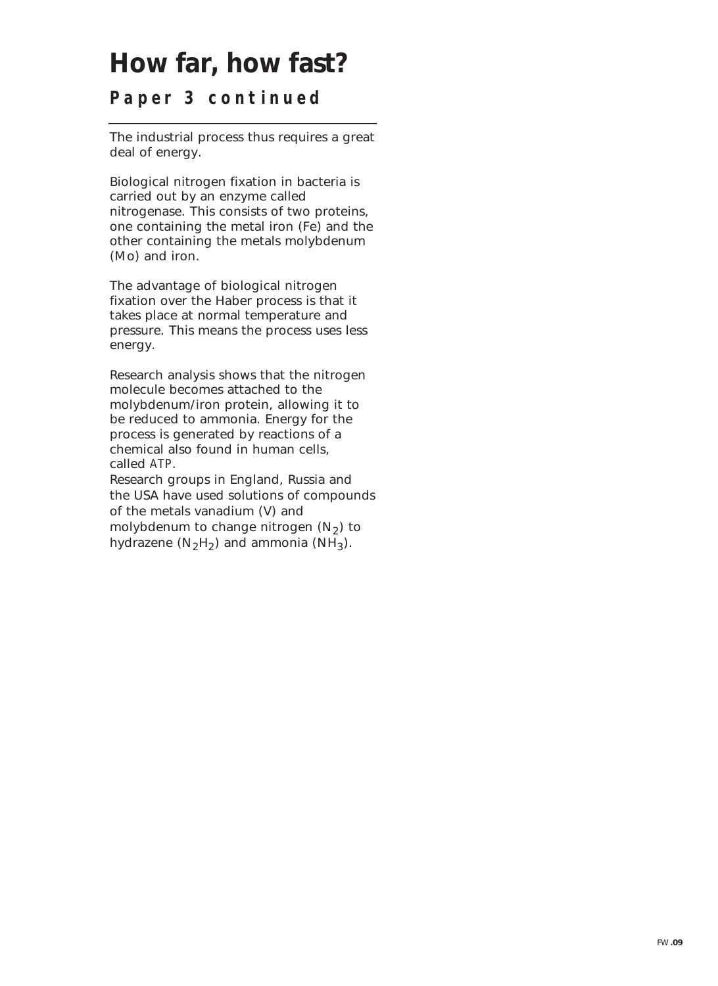### **How far, how fast?**

**Paper 3 continued**

The industrial process thus requires a great deal of energy.

Biological nitrogen fixation in bacteria is carried out by an enzyme called nitrogenase. This consists of two proteins, one containing the metal iron (Fe) and the other containing the metals molybdenum (Mo) and iron.

The advantage of biological nitrogen fixation over the Haber process is that it takes place at normal temperature and pressure. This means the process uses less energy.

Research analysis shows that the nitrogen molecule becomes attached to the molybdenum/iron protein, allowing it to be reduced to ammonia. Energy for the process is generated by reactions of a chemical also found in human cells, called *ATP*.

Research groups in England, Russia and the USA have used solutions of compounds of the metals vanadium (V) and molybdenum to change nitrogen  $(N_2)$  to hydrazene  $(N_2H_2)$  and ammonia  $(NH_3)$ .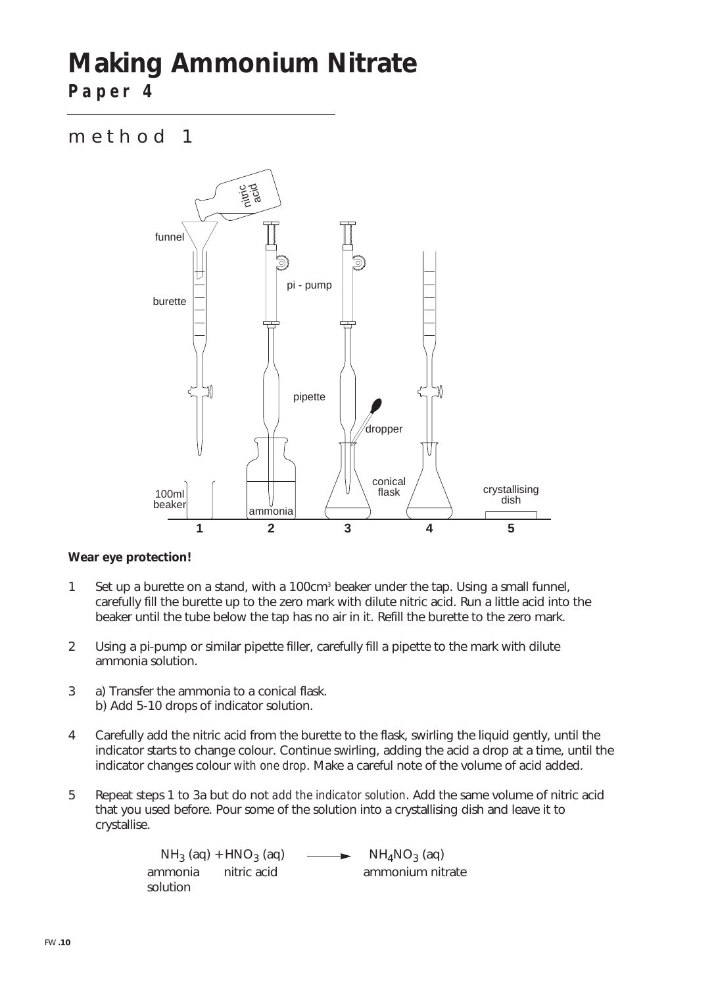## **Making Ammonium Nitrate**

**Paper 4**

#### method 1



#### **Wear eye protection!**

- 1 Set up a burette on a stand, with a 100cm<sup>3</sup> beaker under the tap. Using a small funnel, carefully fill the burette up to the zero mark with dilute nitric acid. Run a little acid into the beaker until the tube below the tap has no air in it. Refill the burette to the zero mark.
- 2 Using a pi-pump or similar pipette filler, carefully fill a pipette to the mark with dilute ammonia solution.
- 3 a) Transfer the ammonia to a conical flask. b) Add 5-10 drops of indicator solution.
- 4 Carefully add the nitric acid from the burette to the flask, swirling the liquid gently, until the indicator starts to change colour. Continue swirling, adding the acid a drop at a time, until the indicator changes colour *with one drop*. Make a careful note of the volume of acid added.
- 5 Repeat steps 1 to 3a but do not *add the indicator solution*. Add the same volume of nitric acid that you used before. Pour some of the solution into a crystallising dish and leave it to crystallise.

 $NH_3$  (aq) + HNO<sub>3</sub> (aq)  $\longrightarrow$  NH<sub>4</sub>NO<sub>3</sub> (aq)<br>ammonia nitric acid ammonium nit ammonium nitrate solution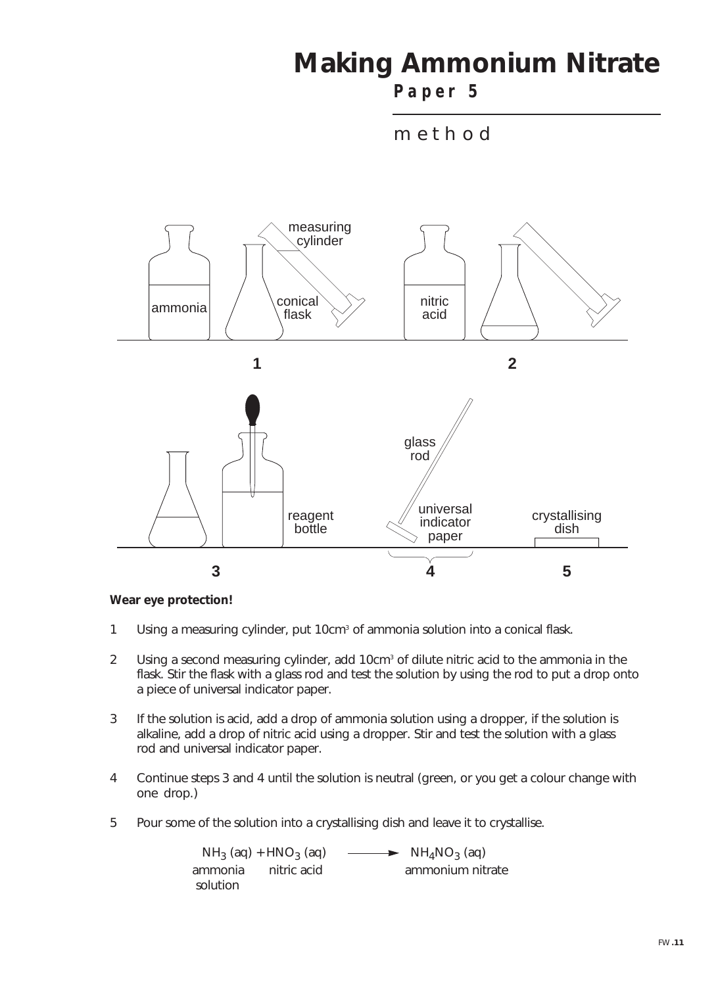### **Making Ammonium Nitrate**

**Paper 5**





#### **Wear eye protection!**

- 1 Using a measuring cylinder, put 10cm<sup>3</sup> of ammonia solution into a conical flask.
- 2 Using a second measuring cylinder, add 10cm<sup>3</sup> of dilute nitric acid to the ammonia in the flask. Stir the flask with a glass rod and test the solution by using the rod to put a drop onto a piece of universal indicator paper.
- 3 If the solution is acid, add a drop of ammonia solution using a dropper, if the solution is alkaline, add a drop of nitric acid using a dropper. Stir and test the solution with a glass rod and universal indicator paper.
- 4 Continue steps 3 and 4 until the solution is neutral (green, or you get a colour change with one drop.)
- 5 Pour some of the solution into a crystallising dish and leave it to crystallise.

| $NH_3$ (aq) + HNO <sub>3</sub> (aq) |             | $\longrightarrow$ NH <sub>4</sub> NO <sub>3</sub> (aq) |  |
|-------------------------------------|-------------|--------------------------------------------------------|--|
| ammonia                             | nitric acid | ammonium nitrate                                       |  |
| solution                            |             |                                                        |  |